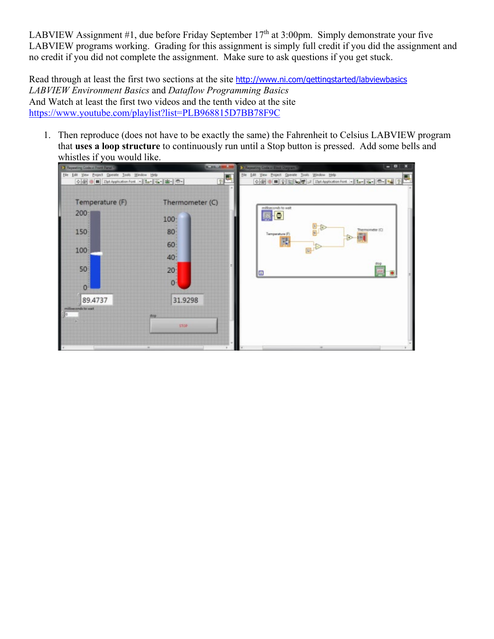LABVIEW Assignment #1, due before Friday September 17<sup>th</sup> at 3:00pm. Simply demonstrate your five LABVIEW programs working. Grading for this assignment is simply full credit if you did the assignment and no credit if you did not complete the assignment. Make sure to ask questions if you get stuck.

Read through at least the first two sections at the site <http://www.ni.com/gettingstarted/labviewbasics> *LABVIEW Environment Basics* and *Dataflow Programming Basics* And Watch at least the first two videos and the tenth video at the site <https://www.youtube.com/playlist?list=PLB968815D7BB78F9C>

1. Then reproduce (does not have to be exactly the same) the Fahrenheit to Celsius LABVIEW program that **uses a loop structure** to continuously run until a Stop button is pressed. Add some bells and whistles if you would like.

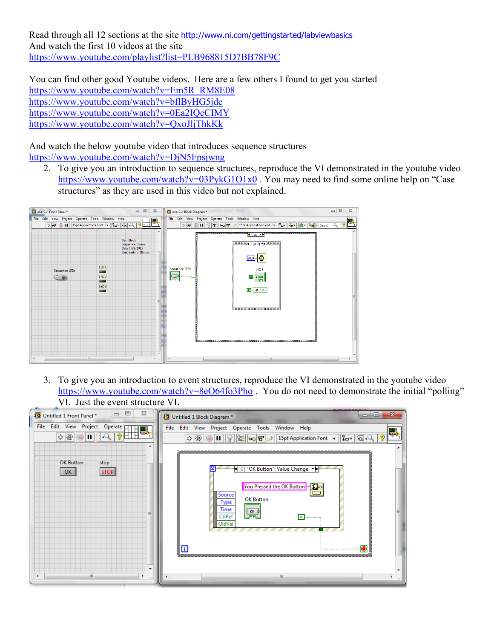Read through all 12 sections at the site <http://www.ni.com/gettingstarted/labviewbasics> And watch the first 10 videos at the site <https://www.youtube.com/playlist?list=PLB968815D7BB78F9C>

You can find other good Youtube videos. Here are a few others I found to get you started [https://www.youtube.com/watch?v=Em5R\\_RM8E08](https://www.youtube.com/watch?v=Em5R_RM8E08) <https://www.youtube.com/watch?v=bflByHG5jdc> <https://www.youtube.com/watch?v=0Ea2IQeCIMY> <https://www.youtube.com/watch?v=QxoJljThkKk>

And watch the below youtube video that introduces sequence structures <https://www.youtube.com/watch?v=DjN5Fpsjwng>

2. To give you an introduction to sequence structures, reproduce the VI demonstrated in the youtube video <https://www.youtube.com/watch?v=03PykG1O1x0>. You may need to find some online help on "Case" structures" as they are used in this video but not explained.



3. To give you an introduction to event structures, reproduce the VI demonstrated in the youtube video <https://www.youtube.com/watch?v=8eO64fo3Pho> . You do not need to demonstrate the initial "polling" VI. Just the event structure VI.

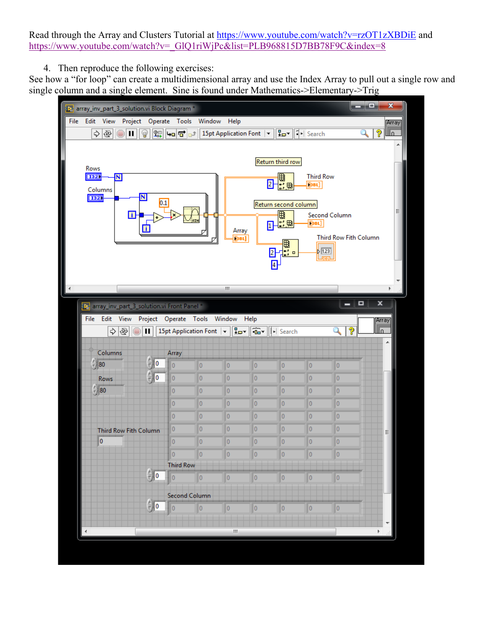Read through the Array and Clusters Tutorial at<https://www.youtube.com/watch?v=rzOT1zXBDiE> and [https://www.youtube.com/watch?v=\\_GlQ1riWjPc&list=PLB968815D7BB78F9C&index=8](https://www.youtube.com/watch?v=_GlQ1riWjPc&list=PLB968815D7BB78F9C&index=8)

4. Then reproduce the following exercises:

See how a "for loop" can create a multidimensional array and use the Index Array to pull out a single row and single column and a single element. Sine is found under Mathematics->Elementary->Trig